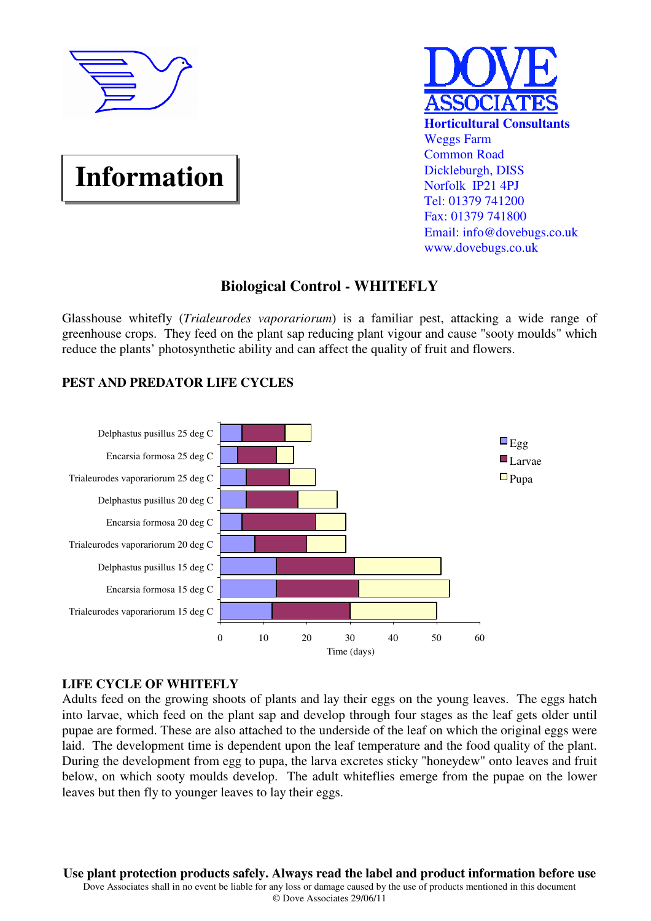

# **Information**



## **Biological Control - WHITEFLY**

Glasshouse whitefly (*Trialeurodes vaporariorum*) is a familiar pest, attacking a wide range of greenhouse crops. They feed on the plant sap reducing plant vigour and cause "sooty moulds" which reduce the plants' photosynthetic ability and can affect the quality of fruit and flowers.

## **PEST AND PREDATOR LIFE CYCLES**



## **LIFE CYCLE OF WHITEFLY**

Adults feed on the growing shoots of plants and lay their eggs on the young leaves. The eggs hatch into larvae, which feed on the plant sap and develop through four stages as the leaf gets older until pupae are formed. These are also attached to the underside of the leaf on which the original eggs were laid. The development time is dependent upon the leaf temperature and the food quality of the plant. During the development from egg to pupa, the larva excretes sticky "honeydew" onto leaves and fruit below, on which sooty moulds develop. The adult whiteflies emerge from the pupae on the lower leaves but then fly to younger leaves to lay their eggs.